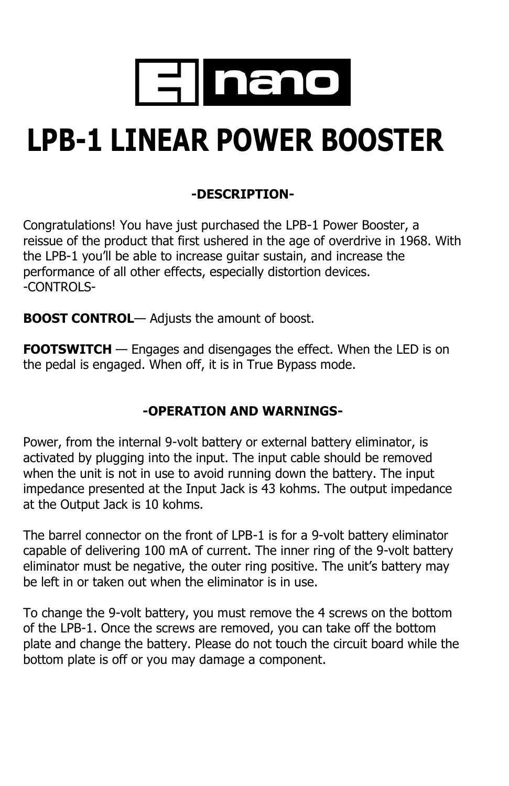

# **LPB-1 LINEAR POWER BOOSTER**

## **-DESCRIPTION-**

Congratulations! You have just purchased the LPB-1 Power Booster, a reissue of the product that first ushered in the age of overdrive in 1968. With the LPB-1 you'll be able to increase guitar sustain, and increase the performance of all other effects, especially distortion devices. -CONTROLS-

**BOOST CONTROL**— Adjusts the amount of boost.

**FOOTSWITCH** — Engages and disengages the effect. When the LED is on the pedal is engaged. When off, it is in True Bypass mode.

## **-OPERATION AND WARNINGS-**

Power, from the internal 9-volt battery or external battery eliminator, is activated by plugging into the input. The input cable should be removed when the unit is not in use to avoid running down the battery. The input impedance presented at the Input Jack is 43 kohms. The output impedance at the Output Jack is 10 kohms.

The barrel connector on the front of LPB-1 is for a 9-volt battery eliminator capable of delivering 100 mA of current. The inner ring of the 9-volt battery eliminator must be negative, the outer ring positive. The unit's battery may be left in or taken out when the eliminator is in use.

To change the 9-volt battery, you must remove the 4 screws on the bottom of the LPB-1. Once the screws are removed, you can take off the bottom plate and change the battery. Please do not touch the circuit board while the bottom plate is off or you may damage a component.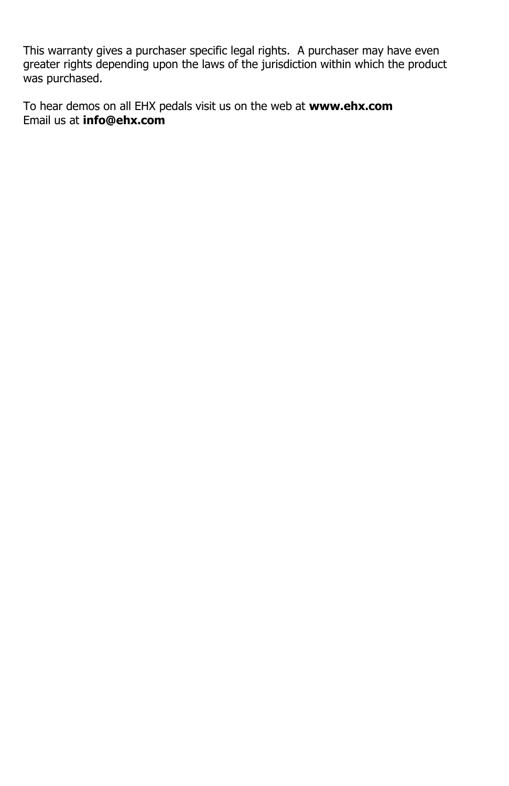This warranty gives a purchaser specific legal rights. A purchaser may have even greater rights depending upon the laws of the jurisdiction within which the product was purchased.

To hear demos on all EHX pedals visit us on the web at **www.ehx.com** Email us at **info@ehx.com**